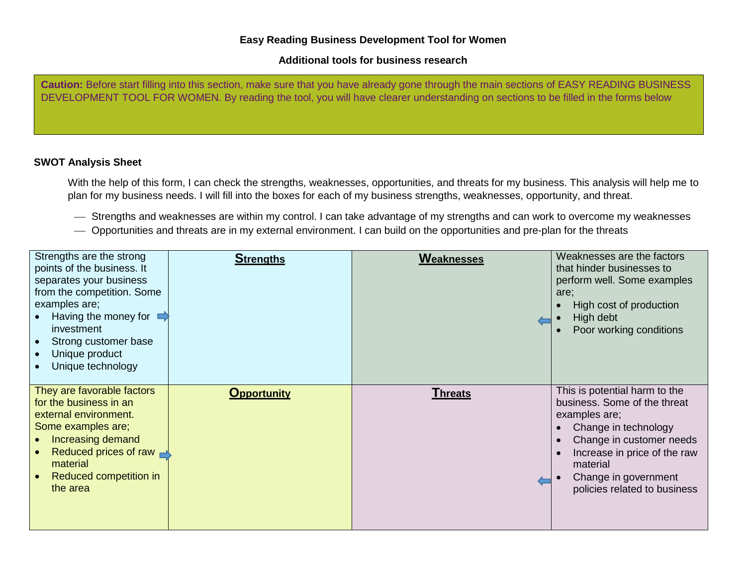## **Easy Reading Business Development Tool for Women**

## **Additional tools for business research**

**Caution:** Before start filling into this section, make sure that you have already gone through the main sections of EASY READING BUSINESS DEVELOPMENT TOOL FOR WOMEN. By reading the tool, you will have clearer understanding on sections to be filled in the forms below

## **SWOT Analysis Sheet**

With the help of this form, I can check the strengths, weaknesses, opportunities, and threats for my business. This analysis will help me to plan for my business needs. I will fill into the boxes for each of my business strengths, weaknesses, opportunity, and threat.

- Strengths and weaknesses are within my control. I can take advantage of my strengths and can work to overcome my weaknesses
- Opportunities and threats are in my external environment. I can build on the opportunities and pre-plan for the threats

| Strengths are the strong<br>points of the business. It<br>separates your business<br>from the competition. Some<br>examples are;<br>Having the money for $\blacksquare$<br>investment<br>Strong customer base<br>Unique product<br>Unique technology | <b>Strengths</b>   | Weaknesses     | Weaknesses are the factors<br>that hinder businesses to<br>perform well. Some examples<br>are;<br>High cost of production<br>High debt<br>Poor working conditions                                                                      |
|------------------------------------------------------------------------------------------------------------------------------------------------------------------------------------------------------------------------------------------------------|--------------------|----------------|----------------------------------------------------------------------------------------------------------------------------------------------------------------------------------------------------------------------------------------|
| They are favorable factors<br>for the business in an<br>external environment.<br>Some examples are;<br>Increasing demand<br>Reduced prices of raw $\blacksquare$<br>material<br>Reduced competition in<br>the area                                   | <b>Opportunity</b> | <b>Threats</b> | This is potential harm to the<br>business. Some of the threat<br>examples are;<br>Change in technology<br>Change in customer needs<br>Increase in price of the raw<br>material<br>Change in government<br>policies related to business |